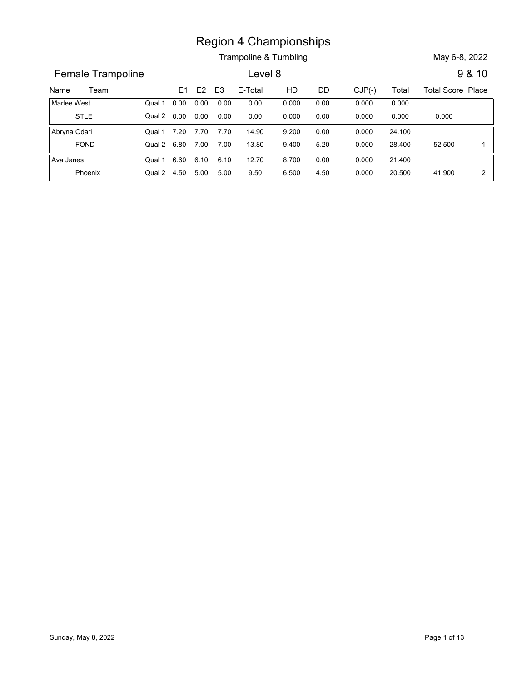Trampoline & Tumbling May 6-8, 2022

Name Trampoline E1 E2 E3 E-Total HD DD CJP(-) Total Total Score Place<br>
Name Team E1 E2 E3 E-Total HD DD CJP(-) Total Total Score Place<br>
Name Vest Qual 1 0.00 0.00 0.00 0.00 0.00 0.00 0.000 0.000 0.000<br>
STLE Qual 2 0.00 0.0 Female Trampoline **Lexel 8** 9 & 10 E1 E2 E3 E-Total HD DD CJP(-) 0.00 0.00 0.00 STLE Qual 2 Marlee West Region 4 Championships<br>
Trampoline & Tumbling<br>
Level 8<br>
<u>E1 E2 E3</u> E-Total HD DD CJP(-) Total Total Score Place<br>
0.00 0.00 0.00 0.00 0.00 0.000 0.000 0.000 0.000<br>
7.20 7.70 7.70 14.90 9.200 0.00 0.000 0.000 0.000 0.000<br>
7. 0.000 0.000 0.000 0.000 0.000 0.00 0.000 0.000 0.000 0.000 0.000 Qual 1 0.00 0.00 0.00 0.00  $0.00$   $0.00$   $0.000$   $0.00$   $0.000$   $0.000$   $0.000$ **Example 8 7 and 10 12.70**<br> **E1 E2 E3 E-Total HD DD CJP(-)** Total Total Score Plannel Composition of the UPC DD CJP(-) Total Total Score Plannel COMP DD CJP(-) Total Total Score Plannel COMP DD CJP(-) Total Total Score Pla FOND Qual 2 Abryna Odari Region 4 Championships<br>
Trampoline & Tumbling<br>
Level 8<br>
8 4 10<br>
6.80 7.00 7.00 13.80 5.00 6.500 6.500 6.500 6.500 6.500 6.500 6.500 6.500 6.500 6.500 6.500 6.500 6.500 6.500 6.500 6.500 6.500 6.500 6.500 6.500 6.500 6.500 24.100 0.000 9.200 52.500 1 9.400 5.20 0.000 28.400 52.500 1 | Qual 1 7.20 7.70 7.70 14.90 9.200 0.00 7.70 0.00 7.00 13.80 9.400 5.20 0.000 6.60 6.10 12.70 Phoenix Qual 2 Ava Janes **Canada Ava Janes Canada Ava Janes Canada Ava Janes Canada Ava Janes Canada Ava** O 4.50 5.00 9.50 4.50 41.900 2 21.400 0.000 8.700 20.500 0.000 4.50 0.000 20.500 Qual 1 6.60 6.10 6.10 12.70 8.700 0.00 6.10 0.00 5.00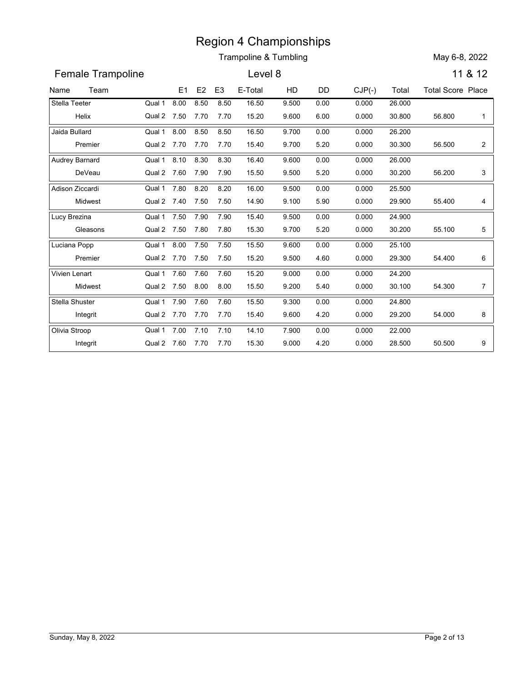|                   |                               |      |                | Region 4 Championships |       |      |          |        |                          |                |
|-------------------|-------------------------------|------|----------------|------------------------|-------|------|----------|--------|--------------------------|----------------|
|                   |                               |      |                | Trampoline & Tumbling  |       |      |          |        | May 6-8, 2022            |                |
| Female Trampoline |                               |      |                | Level 8                |       |      |          |        |                          | 11 & 12        |
| Team<br>Name      | E <sub>1</sub>                | E2   | E <sub>3</sub> | E-Total                | HD    | DD   | $CJP(-)$ | Total  | <b>Total Score Place</b> |                |
| Stella Teeter     | 8.00<br>Qual 1                | 8.50 | 8.50           | 16.50                  | 9.500 | 0.00 | 0.000    | 26.000 |                          |                |
| Helix             | Qual 2 7.50                   | 7.70 | 7.70           | 15.20                  | 9.600 | 6.00 | 0.000    | 30.800 | 56.800                   | -1             |
| Jaida Bullard     | 8.00<br>Qual 1                | 8.50 | 8.50           | 16.50                  | 9.700 | 0.00 | 0.000    | 26.200 |                          |                |
| Premier           | Qual 2 7.70                   | 7.70 | 7.70           | 15.40                  | 9.700 | 5.20 | 0.000    | 30.300 | 56.500                   | $\overline{a}$ |
| Audrey Barnard    | 8.10<br>Qual 1                | 8.30 | 8.30           | 16.40                  | 9.600 | 0.00 | 0.000    | 26.000 |                          |                |
| DeVeau            | Qual 2 7.60                   | 7.90 | 7.90           | 15.50                  | 9.500 | 5.20 | 0.000    | 30.200 | 56.200                   | 3              |
| Adison Ziccardi   | 7.80<br>Qual 1                | 8.20 | 8.20           | 16.00                  | 9.500 | 0.00 | 0.000    | 25.500 |                          |                |
| Midwest           | Qual 2 7.40                   | 7.50 | 7.50           | 14.90                  | 9.100 | 5.90 | 0.000    | 29.900 | 55.400                   | 4              |
| Lucy Brezina      | 7.50<br>Qual 1                | 7.90 | 7.90           | 15.40                  | 9.500 | 0.00 | 0.000    | 24.900 |                          |                |
| Gleasons          | Qual 2 7.50                   | 7.80 | 7.80           | 15.30                  | 9.700 | 5.20 | 0.000    | 30.200 | 55.100                   | 5              |
| Luciana Popp      | 8.00<br>Qual 1                | 7.50 | 7.50           | 15.50                  | 9.600 | 0.00 | 0.000    | 25.100 |                          |                |
| Premier           | Qual 2 7.70 7.50 7.50         |      |                | 15.20                  | 9.500 | 4.60 | 0.000    | 29.300 | 54.400                   | 6              |
| Vivien Lenart     | Qual 1 $\overline{7.60}$ 7.60 |      | 7.60           | 15.20                  | 9.000 | 0.00 | 0.000    | 24.200 |                          |                |
| Midwest           | Qual 2 7.50 8.00 8.00         |      |                | 15.50                  | 9.200 | 5.40 | 0.000    | 30.100 | 54.300                   | $\overline{7}$ |
| Stella Shuster    | Qual 1 7.90 7.60              |      | 7.60           | 15.50                  | 9.300 | 0.00 | 0.000    | 24.800 |                          |                |
| Integrit          | Qual 2 7.70 7.70 7.70         |      |                | 15.40                  | 9.600 | 4.20 | 0.000    | 29.200 | 54.000                   | 8              |
| Olivia Stroop     | Qual 1 7.00 7.10 7.10         |      |                | 14.10                  | 7.900 | 0.00 | 0.000    | 22.000 |                          |                |
| Integrit          | Qual 2 7.60 7.70 7.70         |      |                | 15.30                  | 9.000 | 4.20 | 0.000    | 28.500 | 50.500                   | 9              |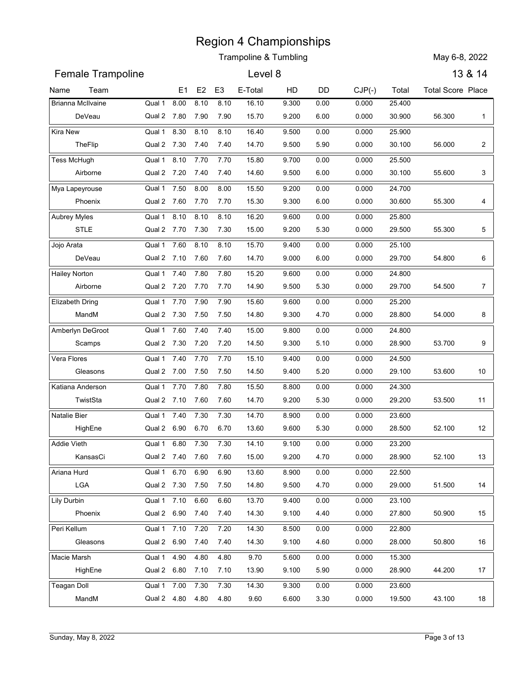| Trampoline & Tumbling<br><b>Female Trampoline</b><br>Level 8<br>Team<br>E <sub>3</sub><br>E-Total<br>HD<br>E1<br>E <sub>2</sub><br>DD<br><b>Brianna McIlvaine</b><br>8.00<br>8.10<br>8.10<br>16.10<br>Qual 1<br>9.300<br>0.00<br>Qual 2 7.80<br>7.90<br>15.70<br>9.200<br>6.00<br>DeVeau<br>7.90<br>Kira New<br>8.30<br>8.10<br>8.10<br>Qual 1<br>16.40<br>9.500<br>0.00<br>TheFlip<br>Qual 2 7.30<br>7.40<br>7.40<br>14.70<br>9.500<br>5.90<br>7.70<br>Tess McHugh<br>8.10<br>7.70<br>15.80<br>9.700<br>0.00<br>Qual 1<br>Qual 2 7.20<br>Airborne<br>7.40<br>7.40<br>14.60<br>9.500<br>6.00<br>7.50<br>8.00<br>8.00<br>15.50<br>9.200<br>Qual 1<br>0.00<br>Qual 2 7.60<br>7.70<br>7.70<br>15.30<br>9.300<br>6.00<br>Phoenix<br>8.10<br>8.10<br>8.10<br>16.20<br>Aubrey Myles<br>Qual 1<br>9.600<br>0.00<br><b>STLE</b><br>Qual 2 7.70<br>7.30<br>7.30<br>15.00<br>9.200<br>5.30<br>7.60<br>15.70<br>Jojo Arata<br>8.10<br>8.10<br>9.400<br>0.00<br>Qual 1<br>DeVeau<br>Qual 2 7.10 7.60 7.60<br>14.70<br>9.000<br>6.00<br><b>Hailey Norton</b><br>Qual 1 7.40 7.80<br>7.80<br>15.20<br>9.600<br>0.00<br>Qual 2 7.20 7.70<br>14.90<br>5.30<br>Airborne<br>7.70<br>9.500<br>Qual 1 7.70 7.90<br><b>Elizabeth Dring</b><br>7.90<br>15.60<br>9.600<br>0.00<br>MandM<br>Qual 2 7.30 7.50 7.50<br>14.80<br>9.300<br>4.70<br>Qual 1 7.60 7.40<br>Amberlyn DeGroot<br>7.40<br>0.00<br>15.00<br>9.800<br>Qual 2 7.30 7.20<br>Scamps<br>7.20<br>14.50<br>9.300<br>5.10<br>Vera Flores<br>Qual 1 7.40 7.70<br>7.70<br>15.10<br>9.400<br>0.00<br>Qual 2 7.00 7.50 7.50<br>Gleasons<br>14.50<br>9.400<br>5.20<br>Qual 1 7.70 7.80<br>7.80<br>15.50<br>Katiana Anderson<br>8.800<br>0.00<br>TwistSta<br>Qual 2 7.10 7.60<br>7.60<br>14.70<br>9.200<br>5.30<br>Qual 1 7.40 7.30<br>7.30<br>14.70<br>8.900<br>0.00<br>HighEne<br>Qual 2 6.90 6.70<br>6.70<br>13.60<br>9.600<br>5.30<br>Addie Vieth<br>Qual 1 6.80 7.30<br>7.30<br>14.10<br>9.100<br>0.00<br>KansasCi<br>Qual 2 7.40 7.60<br>7.60<br>15.00<br>9.200<br>4.70 | $CJP(-)$<br>Total<br>0.000<br>25.400<br>0.000<br>30.900<br>0.000<br>25.900<br>0.000<br>30.100<br>0.000<br>25.500<br>0.000<br>30.100<br>0.000<br>24.700<br>0.000<br>30.600<br>0.000<br>25.800<br>0.000<br>29.500<br>0.000<br>25.100<br>0.000<br>29.700<br>0.000<br>24.800<br>0.000<br>29.700<br>0.000<br>25.200 | May 6-8, 2022<br><b>Total Score Place</b><br>56.300<br>56.000<br>55.600<br>55.300<br>55.300<br>54.800<br>54.500 | 13 & 14<br>$\mathbf{1}$<br>$\overline{c}$<br>3<br>4<br>5<br>6 |
|-------------------------------------------------------------------------------------------------------------------------------------------------------------------------------------------------------------------------------------------------------------------------------------------------------------------------------------------------------------------------------------------------------------------------------------------------------------------------------------------------------------------------------------------------------------------------------------------------------------------------------------------------------------------------------------------------------------------------------------------------------------------------------------------------------------------------------------------------------------------------------------------------------------------------------------------------------------------------------------------------------------------------------------------------------------------------------------------------------------------------------------------------------------------------------------------------------------------------------------------------------------------------------------------------------------------------------------------------------------------------------------------------------------------------------------------------------------------------------------------------------------------------------------------------------------------------------------------------------------------------------------------------------------------------------------------------------------------------------------------------------------------------------------------------------------------------------------------------------------------------------------------------------------------------------------------------------------------------------------------------------------|----------------------------------------------------------------------------------------------------------------------------------------------------------------------------------------------------------------------------------------------------------------------------------------------------------------|-----------------------------------------------------------------------------------------------------------------|---------------------------------------------------------------|
| Name<br>Mya Lapeyrouse<br>Natalie Bier                                                                                                                                                                                                                                                                                                                                                                                                                                                                                                                                                                                                                                                                                                                                                                                                                                                                                                                                                                                                                                                                                                                                                                                                                                                                                                                                                                                                                                                                                                                                                                                                                                                                                                                                                                                                                                                                                                                                                                      |                                                                                                                                                                                                                                                                                                                |                                                                                                                 |                                                               |
|                                                                                                                                                                                                                                                                                                                                                                                                                                                                                                                                                                                                                                                                                                                                                                                                                                                                                                                                                                                                                                                                                                                                                                                                                                                                                                                                                                                                                                                                                                                                                                                                                                                                                                                                                                                                                                                                                                                                                                                                             |                                                                                                                                                                                                                                                                                                                |                                                                                                                 |                                                               |
|                                                                                                                                                                                                                                                                                                                                                                                                                                                                                                                                                                                                                                                                                                                                                                                                                                                                                                                                                                                                                                                                                                                                                                                                                                                                                                                                                                                                                                                                                                                                                                                                                                                                                                                                                                                                                                                                                                                                                                                                             |                                                                                                                                                                                                                                                                                                                |                                                                                                                 |                                                               |
|                                                                                                                                                                                                                                                                                                                                                                                                                                                                                                                                                                                                                                                                                                                                                                                                                                                                                                                                                                                                                                                                                                                                                                                                                                                                                                                                                                                                                                                                                                                                                                                                                                                                                                                                                                                                                                                                                                                                                                                                             |                                                                                                                                                                                                                                                                                                                |                                                                                                                 |                                                               |
|                                                                                                                                                                                                                                                                                                                                                                                                                                                                                                                                                                                                                                                                                                                                                                                                                                                                                                                                                                                                                                                                                                                                                                                                                                                                                                                                                                                                                                                                                                                                                                                                                                                                                                                                                                                                                                                                                                                                                                                                             |                                                                                                                                                                                                                                                                                                                |                                                                                                                 |                                                               |
|                                                                                                                                                                                                                                                                                                                                                                                                                                                                                                                                                                                                                                                                                                                                                                                                                                                                                                                                                                                                                                                                                                                                                                                                                                                                                                                                                                                                                                                                                                                                                                                                                                                                                                                                                                                                                                                                                                                                                                                                             |                                                                                                                                                                                                                                                                                                                |                                                                                                                 |                                                               |
|                                                                                                                                                                                                                                                                                                                                                                                                                                                                                                                                                                                                                                                                                                                                                                                                                                                                                                                                                                                                                                                                                                                                                                                                                                                                                                                                                                                                                                                                                                                                                                                                                                                                                                                                                                                                                                                                                                                                                                                                             |                                                                                                                                                                                                                                                                                                                |                                                                                                                 |                                                               |
|                                                                                                                                                                                                                                                                                                                                                                                                                                                                                                                                                                                                                                                                                                                                                                                                                                                                                                                                                                                                                                                                                                                                                                                                                                                                                                                                                                                                                                                                                                                                                                                                                                                                                                                                                                                                                                                                                                                                                                                                             |                                                                                                                                                                                                                                                                                                                |                                                                                                                 |                                                               |
|                                                                                                                                                                                                                                                                                                                                                                                                                                                                                                                                                                                                                                                                                                                                                                                                                                                                                                                                                                                                                                                                                                                                                                                                                                                                                                                                                                                                                                                                                                                                                                                                                                                                                                                                                                                                                                                                                                                                                                                                             |                                                                                                                                                                                                                                                                                                                |                                                                                                                 |                                                               |
|                                                                                                                                                                                                                                                                                                                                                                                                                                                                                                                                                                                                                                                                                                                                                                                                                                                                                                                                                                                                                                                                                                                                                                                                                                                                                                                                                                                                                                                                                                                                                                                                                                                                                                                                                                                                                                                                                                                                                                                                             |                                                                                                                                                                                                                                                                                                                |                                                                                                                 |                                                               |
|                                                                                                                                                                                                                                                                                                                                                                                                                                                                                                                                                                                                                                                                                                                                                                                                                                                                                                                                                                                                                                                                                                                                                                                                                                                                                                                                                                                                                                                                                                                                                                                                                                                                                                                                                                                                                                                                                                                                                                                                             |                                                                                                                                                                                                                                                                                                                |                                                                                                                 |                                                               |
|                                                                                                                                                                                                                                                                                                                                                                                                                                                                                                                                                                                                                                                                                                                                                                                                                                                                                                                                                                                                                                                                                                                                                                                                                                                                                                                                                                                                                                                                                                                                                                                                                                                                                                                                                                                                                                                                                                                                                                                                             |                                                                                                                                                                                                                                                                                                                |                                                                                                                 |                                                               |
|                                                                                                                                                                                                                                                                                                                                                                                                                                                                                                                                                                                                                                                                                                                                                                                                                                                                                                                                                                                                                                                                                                                                                                                                                                                                                                                                                                                                                                                                                                                                                                                                                                                                                                                                                                                                                                                                                                                                                                                                             |                                                                                                                                                                                                                                                                                                                |                                                                                                                 |                                                               |
|                                                                                                                                                                                                                                                                                                                                                                                                                                                                                                                                                                                                                                                                                                                                                                                                                                                                                                                                                                                                                                                                                                                                                                                                                                                                                                                                                                                                                                                                                                                                                                                                                                                                                                                                                                                                                                                                                                                                                                                                             |                                                                                                                                                                                                                                                                                                                |                                                                                                                 |                                                               |
|                                                                                                                                                                                                                                                                                                                                                                                                                                                                                                                                                                                                                                                                                                                                                                                                                                                                                                                                                                                                                                                                                                                                                                                                                                                                                                                                                                                                                                                                                                                                                                                                                                                                                                                                                                                                                                                                                                                                                                                                             |                                                                                                                                                                                                                                                                                                                |                                                                                                                 |                                                               |
|                                                                                                                                                                                                                                                                                                                                                                                                                                                                                                                                                                                                                                                                                                                                                                                                                                                                                                                                                                                                                                                                                                                                                                                                                                                                                                                                                                                                                                                                                                                                                                                                                                                                                                                                                                                                                                                                                                                                                                                                             |                                                                                                                                                                                                                                                                                                                |                                                                                                                 | $\overline{7}$                                                |
|                                                                                                                                                                                                                                                                                                                                                                                                                                                                                                                                                                                                                                                                                                                                                                                                                                                                                                                                                                                                                                                                                                                                                                                                                                                                                                                                                                                                                                                                                                                                                                                                                                                                                                                                                                                                                                                                                                                                                                                                             |                                                                                                                                                                                                                                                                                                                |                                                                                                                 |                                                               |
|                                                                                                                                                                                                                                                                                                                                                                                                                                                                                                                                                                                                                                                                                                                                                                                                                                                                                                                                                                                                                                                                                                                                                                                                                                                                                                                                                                                                                                                                                                                                                                                                                                                                                                                                                                                                                                                                                                                                                                                                             | 0.000<br>28.800                                                                                                                                                                                                                                                                                                | 54.000                                                                                                          | 8                                                             |
|                                                                                                                                                                                                                                                                                                                                                                                                                                                                                                                                                                                                                                                                                                                                                                                                                                                                                                                                                                                                                                                                                                                                                                                                                                                                                                                                                                                                                                                                                                                                                                                                                                                                                                                                                                                                                                                                                                                                                                                                             | 0.000<br>24.800<br>0.000<br>28.900                                                                                                                                                                                                                                                                             | 53.700                                                                                                          | 9                                                             |
|                                                                                                                                                                                                                                                                                                                                                                                                                                                                                                                                                                                                                                                                                                                                                                                                                                                                                                                                                                                                                                                                                                                                                                                                                                                                                                                                                                                                                                                                                                                                                                                                                                                                                                                                                                                                                                                                                                                                                                                                             | 0.000<br>24.500                                                                                                                                                                                                                                                                                                |                                                                                                                 |                                                               |
|                                                                                                                                                                                                                                                                                                                                                                                                                                                                                                                                                                                                                                                                                                                                                                                                                                                                                                                                                                                                                                                                                                                                                                                                                                                                                                                                                                                                                                                                                                                                                                                                                                                                                                                                                                                                                                                                                                                                                                                                             | 0.000<br>29.100                                                                                                                                                                                                                                                                                                | 53.600                                                                                                          | 10                                                            |
|                                                                                                                                                                                                                                                                                                                                                                                                                                                                                                                                                                                                                                                                                                                                                                                                                                                                                                                                                                                                                                                                                                                                                                                                                                                                                                                                                                                                                                                                                                                                                                                                                                                                                                                                                                                                                                                                                                                                                                                                             | 24.300<br>0.000                                                                                                                                                                                                                                                                                                |                                                                                                                 |                                                               |
|                                                                                                                                                                                                                                                                                                                                                                                                                                                                                                                                                                                                                                                                                                                                                                                                                                                                                                                                                                                                                                                                                                                                                                                                                                                                                                                                                                                                                                                                                                                                                                                                                                                                                                                                                                                                                                                                                                                                                                                                             | 0.000<br>29.200                                                                                                                                                                                                                                                                                                | 53.500                                                                                                          | 11                                                            |
|                                                                                                                                                                                                                                                                                                                                                                                                                                                                                                                                                                                                                                                                                                                                                                                                                                                                                                                                                                                                                                                                                                                                                                                                                                                                                                                                                                                                                                                                                                                                                                                                                                                                                                                                                                                                                                                                                                                                                                                                             | 23.600<br>0.000                                                                                                                                                                                                                                                                                                |                                                                                                                 |                                                               |
|                                                                                                                                                                                                                                                                                                                                                                                                                                                                                                                                                                                                                                                                                                                                                                                                                                                                                                                                                                                                                                                                                                                                                                                                                                                                                                                                                                                                                                                                                                                                                                                                                                                                                                                                                                                                                                                                                                                                                                                                             | 0.000<br>28.500                                                                                                                                                                                                                                                                                                | 52.100                                                                                                          | 12                                                            |
|                                                                                                                                                                                                                                                                                                                                                                                                                                                                                                                                                                                                                                                                                                                                                                                                                                                                                                                                                                                                                                                                                                                                                                                                                                                                                                                                                                                                                                                                                                                                                                                                                                                                                                                                                                                                                                                                                                                                                                                                             | 0.000<br>23.200                                                                                                                                                                                                                                                                                                |                                                                                                                 |                                                               |
|                                                                                                                                                                                                                                                                                                                                                                                                                                                                                                                                                                                                                                                                                                                                                                                                                                                                                                                                                                                                                                                                                                                                                                                                                                                                                                                                                                                                                                                                                                                                                                                                                                                                                                                                                                                                                                                                                                                                                                                                             | 0.000<br>28.900                                                                                                                                                                                                                                                                                                | 52.100                                                                                                          | 13                                                            |
| Qual 1 6.70 6.90<br>6.90<br>8.900<br>Ariana Hurd<br>13.60<br>0.00                                                                                                                                                                                                                                                                                                                                                                                                                                                                                                                                                                                                                                                                                                                                                                                                                                                                                                                                                                                                                                                                                                                                                                                                                                                                                                                                                                                                                                                                                                                                                                                                                                                                                                                                                                                                                                                                                                                                           | 22.500<br>0.000                                                                                                                                                                                                                                                                                                |                                                                                                                 |                                                               |
| LGA<br>Qual 2 7.30 7.50<br>7.50<br>14.80<br>9.500<br>4.70                                                                                                                                                                                                                                                                                                                                                                                                                                                                                                                                                                                                                                                                                                                                                                                                                                                                                                                                                                                                                                                                                                                                                                                                                                                                                                                                                                                                                                                                                                                                                                                                                                                                                                                                                                                                                                                                                                                                                   | 0.000<br>29.000                                                                                                                                                                                                                                                                                                | 51.500                                                                                                          | 14                                                            |
| Lily Durbin<br>Qual 1 7.10<br>6.60<br>6.60<br>13.70<br>9.400<br>0.00                                                                                                                                                                                                                                                                                                                                                                                                                                                                                                                                                                                                                                                                                                                                                                                                                                                                                                                                                                                                                                                                                                                                                                                                                                                                                                                                                                                                                                                                                                                                                                                                                                                                                                                                                                                                                                                                                                                                        | 23.100<br>0.000                                                                                                                                                                                                                                                                                                |                                                                                                                 |                                                               |
| Qual 2 6.90 7.40 7.40<br>Phoenix<br>14.30<br>9.100<br>4.40                                                                                                                                                                                                                                                                                                                                                                                                                                                                                                                                                                                                                                                                                                                                                                                                                                                                                                                                                                                                                                                                                                                                                                                                                                                                                                                                                                                                                                                                                                                                                                                                                                                                                                                                                                                                                                                                                                                                                  | 0.000<br>27.800                                                                                                                                                                                                                                                                                                | 50.900                                                                                                          | 15                                                            |
| Qual 1 7.10 7.20<br>Peri Kellum<br>7.20<br>14.30<br>8.500<br>0.00                                                                                                                                                                                                                                                                                                                                                                                                                                                                                                                                                                                                                                                                                                                                                                                                                                                                                                                                                                                                                                                                                                                                                                                                                                                                                                                                                                                                                                                                                                                                                                                                                                                                                                                                                                                                                                                                                                                                           | 0.000<br>22.800                                                                                                                                                                                                                                                                                                |                                                                                                                 |                                                               |
| Qual 2 6.90 7.40 7.40<br>Gleasons<br>14.30<br>9.100<br>4.60                                                                                                                                                                                                                                                                                                                                                                                                                                                                                                                                                                                                                                                                                                                                                                                                                                                                                                                                                                                                                                                                                                                                                                                                                                                                                                                                                                                                                                                                                                                                                                                                                                                                                                                                                                                                                                                                                                                                                 | 0.000<br>28.000                                                                                                                                                                                                                                                                                                | 50.800                                                                                                          | 16                                                            |
| Macie Marsh<br>4.90<br>4.80<br>Qual 1<br>4.80<br>5.600<br>0.00<br>9.70                                                                                                                                                                                                                                                                                                                                                                                                                                                                                                                                                                                                                                                                                                                                                                                                                                                                                                                                                                                                                                                                                                                                                                                                                                                                                                                                                                                                                                                                                                                                                                                                                                                                                                                                                                                                                                                                                                                                      | 15.300<br>0.000                                                                                                                                                                                                                                                                                                |                                                                                                                 |                                                               |
| HighEne<br>Qual 2 6.80 7.10<br>7.10<br>13.90<br>9.100<br>5.90                                                                                                                                                                                                                                                                                                                                                                                                                                                                                                                                                                                                                                                                                                                                                                                                                                                                                                                                                                                                                                                                                                                                                                                                                                                                                                                                                                                                                                                                                                                                                                                                                                                                                                                                                                                                                                                                                                                                               | 0.000<br>28.900                                                                                                                                                                                                                                                                                                | 44.200                                                                                                          | 17                                                            |
| Qual 1 7.00 7.30<br>7.30<br>14.30<br>9.300<br>0.00<br>Teagan Doll                                                                                                                                                                                                                                                                                                                                                                                                                                                                                                                                                                                                                                                                                                                                                                                                                                                                                                                                                                                                                                                                                                                                                                                                                                                                                                                                                                                                                                                                                                                                                                                                                                                                                                                                                                                                                                                                                                                                           | 0.000<br>23.600                                                                                                                                                                                                                                                                                                |                                                                                                                 |                                                               |
| MandM<br>Qual 2 4.80 4.80<br>4.80<br>9.60<br>6.600<br>3.30                                                                                                                                                                                                                                                                                                                                                                                                                                                                                                                                                                                                                                                                                                                                                                                                                                                                                                                                                                                                                                                                                                                                                                                                                                                                                                                                                                                                                                                                                                                                                                                                                                                                                                                                                                                                                                                                                                                                                  | 0.000<br>19.500                                                                                                                                                                                                                                                                                                | 43.100                                                                                                          | 18                                                            |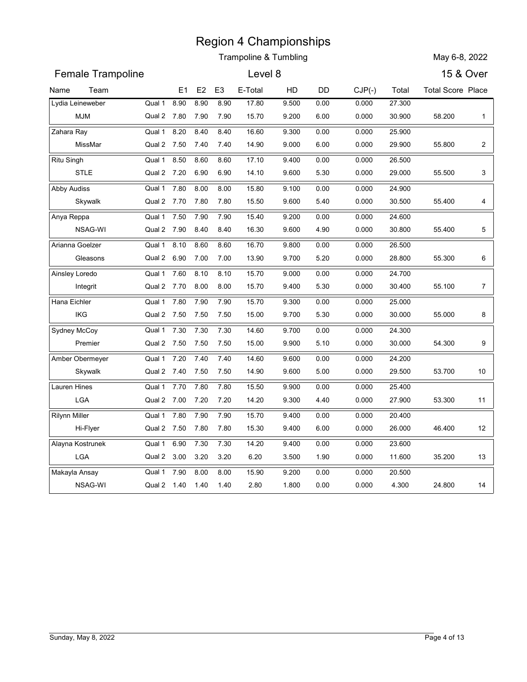|                         |                                           |              |                | <b>Region 4 Championships</b><br>Trampoline & Tumbling |                |              |                |                  | May 6-8, 2022            |                |
|-------------------------|-------------------------------------------|--------------|----------------|--------------------------------------------------------|----------------|--------------|----------------|------------------|--------------------------|----------------|
| Female Trampoline       |                                           |              |                | Level 8                                                |                |              |                |                  | 15 & Over                |                |
| Team<br>Name            |                                           | E1<br>E2     | E <sub>3</sub> | E-Total                                                | HD             | DD           | $CJP(-)$       | Total            | <b>Total Score Place</b> |                |
| Lydia Leineweber        | Qual 1<br>8.90                            | 8.90         | 8.90           | 17.80                                                  | 9.500          | 0.00         | 0.000          | 27.300           |                          |                |
| <b>MJM</b>              | Qual 2 7.80                               | 7.90         | 7.90           | 15.70                                                  | 9.200          | 6.00         | 0.000          | 30.900           | 58.200                   | $\mathbf{1}$   |
| Zahara Ray              | Qual 1<br>8.20                            | 8.40         | 8.40           | 16.60                                                  | 9.300          | 0.00         | 0.000          | 25.900           |                          |                |
| MissMar                 | Qual 2 7.50                               | 7.40         | 7.40           | 14.90                                                  | 9.000          | 6.00         | 0.000          | 29.900           | 55.800                   | $\overline{2}$ |
| <b>Ritu Singh</b>       | 8.50<br>Qual 1                            | 8.60         | 8.60           | 17.10                                                  | 9.400          | 0.00         | 0.000          | 26.500           |                          |                |
| <b>STLE</b>             | Qual 2 7.20                               | 6.90         | 6.90           | 14.10                                                  | 9.600          | 5.30         | 0.000          | 29.000           | 55.500                   | 3              |
| Abby Audiss<br>Skywalk  | 7.80<br>Qual 1<br>Qual 2 7.70             | 8.00<br>7.80 | 8.00<br>7.80   | 15.80<br>15.50                                         | 9.100<br>9.600 | 0.00<br>5.40 | 0.000<br>0.000 | 24.900<br>30.500 | 55.400                   | 4              |
| Anya Reppa              | 7.50<br>Qual 1                            | 7.90         | 7.90           | 15.40                                                  | 9.200          | 0.00         | 0.000          | 24.600           |                          |                |
| NSAG-WI                 | Qual 2 7.90                               | 8.40         | 8.40           | 16.30                                                  | 9.600          | 4.90         | 0.000          | 30.800           | 55.400                   | 5              |
| Arianna Goelzer         | Qual 1<br>8.10                            | 8.60         | 8.60           | 16.70                                                  | 9.800          | 0.00         | 0.000          | 26.500           |                          |                |
| Gleasons                | Qual 2 6.90 7.00                          |              | 7.00           | 13.90                                                  | 9.700          | 5.20         | 0.000          | 28.800           | 55.300                   | 6              |
| Ainsley Loredo          | Qual 1 7.60                               | 8.10         | 8.10           | 15.70                                                  | 9.000          | 0.00         | 0.000          | 24.700           |                          |                |
| Integrit                | Qual 2 7.70 8.00                          |              | 8.00           | 15.70                                                  | 9.400          | 5.30         | 0.000          | 30.400           | 55.100                   | $\overline{7}$ |
| Hana Eichler            | Qual 1 7.80 7.90                          |              | 7.90           | 15.70                                                  | 9.300          | 0.00         | 0.000          | 25.000           |                          |                |
| IKG                     | Qual 2 7.50 7.50 7.50                     |              |                | 15.00                                                  | 9.700          | 5.30         | 0.000          | 30.000           | 55.000                   | 8              |
| Sydney McCoy            | Qual 1 7.30 7.30                          |              | 7.30           | 14.60                                                  | 9.700          | 0.00         | 0.000          | 24.300           |                          |                |
| Premier                 | Qual 2 7.50 7.50 7.50                     |              |                | 15.00                                                  | 9.900          | 5.10         | 0.000          | 30.000           | 54.300                   | 9              |
| Amber Obermeyer         | Qual 1 7.20 7.40                          |              | 7.40           | 14.60                                                  | 9.600          | 0.00         | 0.000          | 24.200           |                          |                |
| Skywalk<br>Lauren Hines | Qual 2 7.40 7.50 7.50<br>Qual 1 7.70 7.80 |              | 7.80           | 14.90<br>15.50                                         | 9.600<br>9.900 | 5.00<br>0.00 | 0.000          | 29.500<br>25.400 | 53.700                   | 10             |
| LGA                     | Qual 2 7.00 7.20 7.20                     |              |                | 14.20                                                  | 9.300          | 4.40         | 0.000<br>0.000 | 27.900           | 53.300                   | 11             |
| <b>Rilynn Miller</b>    | Qual 1 7.80 7.90                          |              | 7.90           | 15.70                                                  | 9.400          | 0.00         | 0.000          | 20.400           |                          |                |
| Hi-Flyer                | Qual 2 7.50 7.80 7.80                     |              |                | 15.30                                                  | 9.400          | 6.00         | 0.000          | 26.000           | 46.400                   | 12             |
| Alayna Kostrunek        | Qual 1 6.90 7.30                          |              | 7.30           | 14.20                                                  | 9.400          | 0.00         | 0.000          | 23.600           |                          |                |
| LGA                     | Qual 2 3.00 3.20                          |              | 3.20           | 6.20                                                   | 3.500          | 1.90         | 0.000          | 11.600           | 35.200                   | 13             |
| Makayla Ansay           | Qual 1 7.90                               | 8.00         | 8.00           | 15.90                                                  | 9.200          | 0.00         | 0.000          | 20.500           |                          |                |
| NSAG-WI                 | Qual 2 1.40 1.40 1.40                     |              |                | 2.80                                                   | 1.800          | 0.00         | 0.000          | 4.300            | 24.800                   | 14             |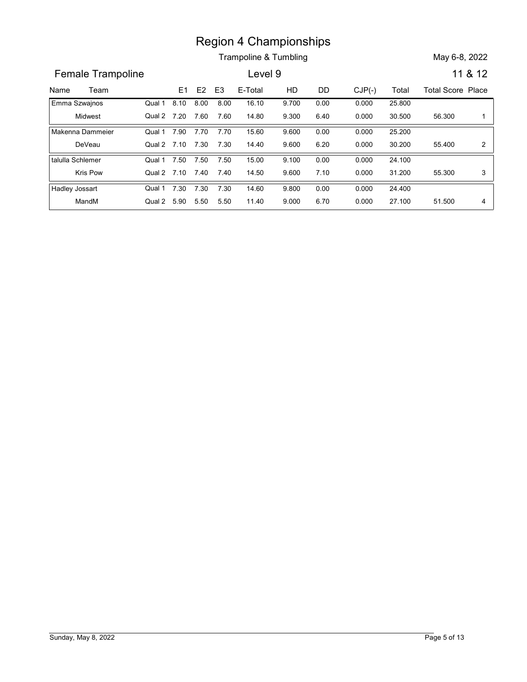Trampoline & Tumbling May 6-8, 2022

**Example 10**<br> **Name Trampoline E1 E2 E3 E-Total HD DD** CJP(-) Total Total Score Place<br> **Enma Szwajnos** Qual 1 8.10 8.00 8.00 16.10 9.700 0.00 0.000 25.800<br>
Midwest Qual 2 7.20 7.60 7.60 14.80 9.300 6.40 0.000 30.500 56.300 Female Trampoline **Level 9** 11 & 12 E3 E-Total HD DD CJP(-) Region 4 Championships<br>
Trampoline & Tumbling<br>
Level 9<br>
8.10 8.00 8.00 16.10 10 DD CJP(-) Total Total Score Pla<br>
8.10 8.00 8.00 16.10 9.700 0.00 0.000 25.800<br>
7.20 7.60 7.60 14.80 9.300 6.40 0.000 30.500 56.300<br>
7.90 7.70 Midwest Qual 2 Emma Szwajnos Region 4 Championships<br>
Trampoline & Tumbling<br>
Level 9<br>
11 & 12<br>
E1 E2 E3 E-Total HD DD CJP(-) Total Total Score Place<br>
8.10 8.00 8.00 16.10 9.700 0.00 0.000 25.800<br>
7.20 7.60 7.60 14.80 9.300 6.40 0.000 30.500 56.300 1<br>
7 25.800 0.000 9.700 56.300 1 0.000 9.300 Qual 1 8.10 8.00 8.00 16.10 9.700 0.00 8.00 16.10 9.700 0.00 0.000 25.800 7.60 14.80 9.300 6.40 0.000 **Example 8 7.60**<br> **E1 E2 E3 E-Total HD DD CJP(-)** Total Total Score Planning<br> **E1 E2 E3 E-Total HD DD CJP(-)** Total Total Score Planning<br> **E1 E2 E3 E-Total HD DD CJP(-)** Total Total Score Planning<br> **E1 E2 E3 E-Total HD DD** DeVeau Qual 2 Makenna Dammeier **Qual 1 7.90 7.70 Example 8.** Trampoline & Tumbling<br> **Example 8.** Tumbling<br> **Example 8.** Tumbling<br> **Example 8.** Tumbling<br> **Example 8.** Tumbling<br> **Example 8.** Tumbling<br> **Example 8.** Tumbling<br> **Example 8.** Tumbling<br> **Example 8.** Tumbling<br> **E** 25.200 0.000 9.600 55.400 2 9.600 6.20 0.000 30.200 55.400 2 | Qual 1 7.90 7.70 7.70 15.60 9.600 0.00 7.70 0.00 7.30 14.40 9.600 6.20 0.000 Region 4 Championships<br>
Trampoline & Tumbling<br>
E1 E2 E3 E-Total HD DD CJP(-) Total Total Score Pli<br>
8.10 8.00 8.00 16.10 9.700 0.00 0.000 25.800<br>
7.90 7.70 7.70 15.60 9.600 0.000 0.000 25.800<br>
7.90 7.70 7.70 15.60 9.600 0. Kris Pow Qual 2 7.10 7.40 7.40 14.50 9.600 7 talulla Schlemer **Qual 1 7.50** 7.10 7.40 14.50 7.10 55.300 3 24.100 0.000 9.100 55.300 3 9.600 7.10 0.000 31.200 55.300 3 | Qual 1 7.50 7.50 7.50 15.00 9.100 0.00 7.50 0.00 7.40 14.50 9.600 7.10 0.000 **Example 8 71**<br> **Example 8 71**<br> **Example 8 71**<br> **Example 8 71**<br> **Example 8 71**<br> **Example 8 71**<br> **Example 8 71**<br> **Example 8 71**<br> **Example 8 71**<br> **Example 8 71**<br> **Example 8 71**<br> **Example 8 71**<br> **Example 8 71**<br> **Example 8 71** MandM Qual 2 Hadley Jossart **Qual 1 7.30** Equine 4 Championships<br>
Erampoline & Tumbling<br>
Level 9<br>
11.8.12<br>
E1.52 E3. E-Total HD DD CJP(-) Total Total Score Place<br>
11.8.12<br>
11.8.12<br>
12.7.0 7.60 7.60 14.80 9.300 6.40 0.000 30.500 56.300 1<br>
17.90 7.70 7.70 15.60 9.60 24.400 0.000 9.800 51.500 4 9.000 6.70 0.000 27.100 51.500 4 | Qual 1 7.30 7.30 7.30 14.60 9.800 0.00 7.30 14.60 9.800 0.00 0.000 24.400 5.50 11.40 9.000 6.70 0.000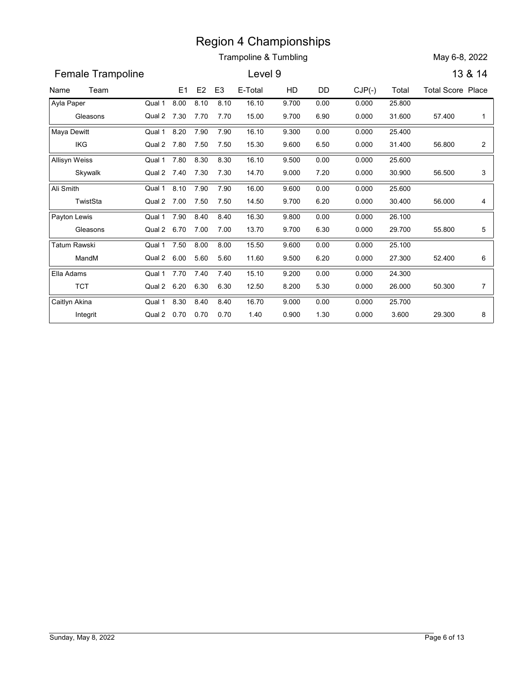|                      |                       |      |                |                | <b>Region 4 Championships</b> |       |      |          |        |                          |                |
|----------------------|-----------------------|------|----------------|----------------|-------------------------------|-------|------|----------|--------|--------------------------|----------------|
|                      |                       |      |                |                | Trampoline & Tumbling         |       |      |          |        | May 6-8, 2022            |                |
| Female Trampoline    |                       |      |                |                | Level 9                       |       |      |          |        |                          | 13 & 14        |
| Team<br>Name         |                       | E1   | E <sub>2</sub> | E <sub>3</sub> | E-Total                       | HD    | DD   | $CJP(-)$ | Total  | <b>Total Score Place</b> |                |
| Ayla Paper           | Qual 1                | 8.00 | 8.10           | 8.10           | 16.10                         | 9.700 | 0.00 | 0.000    | 25.800 |                          |                |
| Gleasons             | Qual 2 7.30           |      | 7.70           | 7.70           | 15.00                         | 9.700 | 6.90 | 0.000    | 31.600 | 57.400                   | -1             |
| Maya Dewitt          | Qual 1                | 8.20 | 7.90           | 7.90           | 16.10                         | 9.300 | 0.00 | 0.000    | 25.400 |                          |                |
| IKG                  | Qual 2 7.80           |      | 7.50           | 7.50           | 15.30                         | 9.600 | 6.50 | 0.000    | 31.400 | 56.800                   | $\overline{a}$ |
| <b>Allisyn Weiss</b> | Qual 1                | 7.80 | 8.30           | 8.30           | 16.10                         | 9.500 | 0.00 | 0.000    | 25.600 |                          |                |
| Skywalk              | Qual 2 7.40           |      | 7.30           | 7.30           | 14.70                         | 9.000 | 7.20 | 0.000    | 30.900 | 56.500                   | 3              |
| Ali Smith            | Qual 1                | 8.10 | 7.90           | 7.90           | 16.00                         | 9.600 | 0.00 | 0.000    | 25.600 |                          |                |
| TwistSta             | Qual 2 7.00           |      | 7.50           | 7.50           | 14.50                         | 9.700 | 6.20 | 0.000    | 30.400 | 56.000                   | 4              |
| Payton Lewis         | Qual 1                | 7.90 | 8.40           | 8.40           | 16.30                         | 9.800 | 0.00 | 0.000    | 26.100 |                          |                |
| Gleasons             | Qual 2 6.70           |      | 7.00           | 7.00           | 13.70                         | 9.700 | 6.30 | 0.000    | 29.700 | 55.800                   | 5              |
| <b>Tatum Rawski</b>  | Qual 1                | 7.50 | 8.00           | 8.00           | 15.50                         | 9.600 | 0.00 | 0.000    | 25.100 |                          |                |
| MandM                | Qual 2 6.00 5.60      |      |                | 5.60           | 11.60                         | 9.500 | 6.20 | 0.000    | 27.300 | 52.400                   | 6              |
| Ella Adams           | Qual 1 7.70 7.40      |      |                | 7.40           | 15.10                         | 9.200 | 0.00 | 0.000    | 24.300 |                          |                |
| <b>TCT</b>           | Qual 2 6.20 6.30      |      |                | 6.30           | 12.50                         | 8.200 | 5.30 | 0.000    | 26.000 | 50.300                   | $\overline{7}$ |
| Caitlyn Akina        | Qual 1 8.30 8.40      |      |                | 8.40           | 16.70                         | 9.000 | 0.00 | 0.000    | 25.700 |                          |                |
| Integrit             | Qual 2 0.70 0.70 0.70 |      |                |                | 1.40                          | 0.900 | 1.30 | 0.000    | 3.600  | 29.300                   | 8              |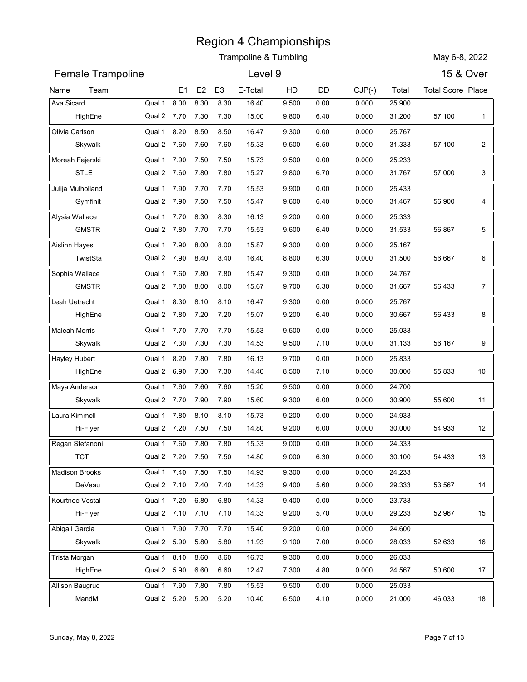| <b>Female Trampoline</b><br><b>15 &amp; Over</b><br>Level 9<br>HD<br>$CJP(-)$<br>Team<br>E1<br>E <sub>2</sub><br>E <sub>3</sub><br>E-Total<br>DD<br>Total<br><b>Total Score Place</b><br>Ava Sicard<br>Qual 1<br>8.00<br>8.30<br>8.30<br>16.40<br>9.500<br>0.000<br>25.900<br>0.00<br>Qual 2 7.70<br>7.30<br>7.30<br>15.00<br>9.800<br>6.40<br>0.000<br>31.200<br>57.100<br>HighEne<br>$\mathbf{1}$<br>Qual 1<br>8.20<br>8.50<br>8.50<br>Olivia Carlson<br>16.47<br>9.300<br>0.00<br>0.000<br>25.767<br>Qual 2 7.60<br>7.60<br>15.33<br>9.500<br>31.333<br>57.100<br>$\overline{2}$<br>Skywalk<br>7.60<br>6.50<br>0.000<br>Moreah Fajerski<br>7.90<br>7.50<br>7.50<br>15.73<br>0.00<br>25.233<br>Qual 1<br>9.500<br>0.000<br><b>STLE</b><br>7.80<br>15.27<br>9.800<br>57.000<br>3<br>Qual 2 7.60<br>7.80<br>6.70<br>0.000<br>31.767<br>Julija Mulholland<br>7.90<br>7.70<br>7.70<br>15.53<br>9.900<br>0.000<br>25.433<br>Qual 1<br>0.00<br>Gymfinit<br>15.47<br>56.900<br>Qual 2 7.90<br>7.50<br>7.50<br>9.600<br>6.40<br>0.000<br>31.467<br>4<br>7.70<br>8.30<br>8.30<br>16.13<br>Alysia Wallace<br>Qual 1<br>9.200<br>0.00<br>0.000<br>25.333<br><b>GMSTR</b><br>Qual 2 7.80<br>7.70<br>7.70<br>15.53<br>9.600<br>6.40<br>0.000<br>31.533<br>56.867<br>5<br>7.90<br>8.00<br>15.87<br>9.300<br>Aislinn Hayes<br>Qual 1<br>8.00<br>0.00<br>0.000<br>25.167<br>TwistSta<br>Qual 2 7.90<br>8.40<br>8.40<br>16.40<br>8.800<br>6.30<br>0.000<br>31.500<br>56.667<br>6<br>Sophia Wallace<br>7.60<br>7.80<br>7.80<br>15.47<br>9.300<br>0.00<br>24.767<br>Qual 1<br>0.000<br><b>GMSTR</b><br>Qual 2 7.80<br>8.00<br>8.00<br>15.67<br>9.700<br>6.30<br>56.433<br>$\overline{7}$<br>0.000<br>31.667<br>Qual 1<br>8.30<br>Leah Uetrecht<br>8.10<br>8.10<br>16.47<br>9.300<br>0.00<br>0.000<br>25.767<br>HighEne<br>Qual 2 7.80 7.20 7.20<br>15.07<br>9.200<br>56.433<br>8<br>6.40<br>0.000<br>30.667<br><b>Maleah Morris</b><br>Qual 1 7.70 7.70<br>7.70<br>15.53<br>9.500<br>0.00<br>25.033<br>0.000<br>Skywalk<br>Qual 2 7.30 7.30<br>9.500<br>56.167<br>9<br>7.30<br>14.53<br>7.10<br>0.000<br>31.133<br>Hayley Hubert<br>8.20<br>7.80<br>7.80<br>Qual 1<br>16.13<br>9.700<br>0.00<br>25.833<br>0.000<br>HighEne<br>Qual 2 6.90 7.30<br>7.30<br>14.40<br>8.500<br>7.10<br>0.000<br>30.000<br>55.833<br>10<br>Maya Anderson<br>Qual 1 7.60<br>7.60<br>7.60<br>15.20<br>9.500<br>0.00<br>0.000<br>24.700<br>Skywalk<br>Qual 2 7.70 7.90<br>7.90<br>15.60<br>9.300<br>55.600<br>6.00<br>0.000<br>30.900<br>11<br>Qual 1 7.80<br>8.10<br>Laura Kimmell<br>8.10<br>15.73<br>9.200<br>0.00<br>0.000<br>24.933<br>Hi-Flyer<br>Qual 2 7.20 7.50 7.50<br>14.80<br>9.200<br>6.00<br>0.000<br>30.000<br>54.933<br>12<br>Regan Stefanoni<br>Qual 1 7.60 7.80<br>7.80<br>15.33<br>9.000<br>0.00<br>24.333<br>0.000<br><b>TCT</b><br>Qual 2 7.20 7.50<br>7.50<br>14.80<br>54.433<br>9.000<br>6.30<br>0.000<br>30.100<br>Qual 1 7.40 7.50<br>7.50<br>14.93<br>9.300<br><b>Madison Brooks</b><br>0.00<br>0.000<br>24.233<br>DeVeau<br>Qual 2 7.10 7.40 7.40<br>14.33<br>9.400<br>5.60<br>0.000<br>29.333<br>53.567<br>14<br>Qual 1 7.20<br>6.80<br>14.33<br>Kourtnee Vestal<br>6.80<br>9.400<br>0.00<br>0.000<br>23.733<br>Hi-Flyer<br>Qual 2 7.10 7.10 7.10<br>14.33<br>5.70<br>52.967<br>9.200<br>0.000<br>29.233<br>15<br>Qual 1 7.90<br>Abigail Garcia<br>7.70<br>7.70<br>15.40<br>9.200<br>0.00<br>0.000<br>24.600<br>Skywalk<br>Qual 2 5.90<br>5.80<br>5.80<br>11.93<br>9.100<br>7.00<br>0.000<br>28.033<br>52.633<br>16 |               |        |      |      |      | <b>Region 4 Championships</b><br><b>Trampoline &amp; Tumbling</b> |       |      |       |        | May 6-8, 2022 |    |
|---------------------------------------------------------------------------------------------------------------------------------------------------------------------------------------------------------------------------------------------------------------------------------------------------------------------------------------------------------------------------------------------------------------------------------------------------------------------------------------------------------------------------------------------------------------------------------------------------------------------------------------------------------------------------------------------------------------------------------------------------------------------------------------------------------------------------------------------------------------------------------------------------------------------------------------------------------------------------------------------------------------------------------------------------------------------------------------------------------------------------------------------------------------------------------------------------------------------------------------------------------------------------------------------------------------------------------------------------------------------------------------------------------------------------------------------------------------------------------------------------------------------------------------------------------------------------------------------------------------------------------------------------------------------------------------------------------------------------------------------------------------------------------------------------------------------------------------------------------------------------------------------------------------------------------------------------------------------------------------------------------------------------------------------------------------------------------------------------------------------------------------------------------------------------------------------------------------------------------------------------------------------------------------------------------------------------------------------------------------------------------------------------------------------------------------------------------------------------------------------------------------------------------------------------------------------------------------------------------------------------------------------------------------------------------------------------------------------------------------------------------------------------------------------------------------------------------------------------------------------------------------------------------------------------------------------------------------------------------------------------------------------------------------------------------------------------------------------------------------------------------------------------------------------------------------------------------------------------------------------------------------------------------------------------------------------------------------------------------------------------------------------------------------------------------------------------------------------------------------------------------|---------------|--------|------|------|------|-------------------------------------------------------------------|-------|------|-------|--------|---------------|----|
| Name                                                                                                                                                                                                                                                                                                                                                                                                                                                                                                                                                                                                                                                                                                                                                                                                                                                                                                                                                                                                                                                                                                                                                                                                                                                                                                                                                                                                                                                                                                                                                                                                                                                                                                                                                                                                                                                                                                                                                                                                                                                                                                                                                                                                                                                                                                                                                                                                                                                                                                                                                                                                                                                                                                                                                                                                                                                                                                                                                                                                                                                                                                                                                                                                                                                                                                                                                                                                                                                                                                    |               |        |      |      |      |                                                                   |       |      |       |        |               |    |
|                                                                                                                                                                                                                                                                                                                                                                                                                                                                                                                                                                                                                                                                                                                                                                                                                                                                                                                                                                                                                                                                                                                                                                                                                                                                                                                                                                                                                                                                                                                                                                                                                                                                                                                                                                                                                                                                                                                                                                                                                                                                                                                                                                                                                                                                                                                                                                                                                                                                                                                                                                                                                                                                                                                                                                                                                                                                                                                                                                                                                                                                                                                                                                                                                                                                                                                                                                                                                                                                                                         |               |        |      |      |      |                                                                   |       |      |       |        |               |    |
|                                                                                                                                                                                                                                                                                                                                                                                                                                                                                                                                                                                                                                                                                                                                                                                                                                                                                                                                                                                                                                                                                                                                                                                                                                                                                                                                                                                                                                                                                                                                                                                                                                                                                                                                                                                                                                                                                                                                                                                                                                                                                                                                                                                                                                                                                                                                                                                                                                                                                                                                                                                                                                                                                                                                                                                                                                                                                                                                                                                                                                                                                                                                                                                                                                                                                                                                                                                                                                                                                                         |               |        |      |      |      |                                                                   |       |      |       |        |               |    |
|                                                                                                                                                                                                                                                                                                                                                                                                                                                                                                                                                                                                                                                                                                                                                                                                                                                                                                                                                                                                                                                                                                                                                                                                                                                                                                                                                                                                                                                                                                                                                                                                                                                                                                                                                                                                                                                                                                                                                                                                                                                                                                                                                                                                                                                                                                                                                                                                                                                                                                                                                                                                                                                                                                                                                                                                                                                                                                                                                                                                                                                                                                                                                                                                                                                                                                                                                                                                                                                                                                         |               |        |      |      |      |                                                                   |       |      |       |        |               |    |
|                                                                                                                                                                                                                                                                                                                                                                                                                                                                                                                                                                                                                                                                                                                                                                                                                                                                                                                                                                                                                                                                                                                                                                                                                                                                                                                                                                                                                                                                                                                                                                                                                                                                                                                                                                                                                                                                                                                                                                                                                                                                                                                                                                                                                                                                                                                                                                                                                                                                                                                                                                                                                                                                                                                                                                                                                                                                                                                                                                                                                                                                                                                                                                                                                                                                                                                                                                                                                                                                                                         |               |        |      |      |      |                                                                   |       |      |       |        |               |    |
|                                                                                                                                                                                                                                                                                                                                                                                                                                                                                                                                                                                                                                                                                                                                                                                                                                                                                                                                                                                                                                                                                                                                                                                                                                                                                                                                                                                                                                                                                                                                                                                                                                                                                                                                                                                                                                                                                                                                                                                                                                                                                                                                                                                                                                                                                                                                                                                                                                                                                                                                                                                                                                                                                                                                                                                                                                                                                                                                                                                                                                                                                                                                                                                                                                                                                                                                                                                                                                                                                                         |               |        |      |      |      |                                                                   |       |      |       |        |               |    |
|                                                                                                                                                                                                                                                                                                                                                                                                                                                                                                                                                                                                                                                                                                                                                                                                                                                                                                                                                                                                                                                                                                                                                                                                                                                                                                                                                                                                                                                                                                                                                                                                                                                                                                                                                                                                                                                                                                                                                                                                                                                                                                                                                                                                                                                                                                                                                                                                                                                                                                                                                                                                                                                                                                                                                                                                                                                                                                                                                                                                                                                                                                                                                                                                                                                                                                                                                                                                                                                                                                         |               |        |      |      |      |                                                                   |       |      |       |        |               |    |
|                                                                                                                                                                                                                                                                                                                                                                                                                                                                                                                                                                                                                                                                                                                                                                                                                                                                                                                                                                                                                                                                                                                                                                                                                                                                                                                                                                                                                                                                                                                                                                                                                                                                                                                                                                                                                                                                                                                                                                                                                                                                                                                                                                                                                                                                                                                                                                                                                                                                                                                                                                                                                                                                                                                                                                                                                                                                                                                                                                                                                                                                                                                                                                                                                                                                                                                                                                                                                                                                                                         |               |        |      |      |      |                                                                   |       |      |       |        |               |    |
|                                                                                                                                                                                                                                                                                                                                                                                                                                                                                                                                                                                                                                                                                                                                                                                                                                                                                                                                                                                                                                                                                                                                                                                                                                                                                                                                                                                                                                                                                                                                                                                                                                                                                                                                                                                                                                                                                                                                                                                                                                                                                                                                                                                                                                                                                                                                                                                                                                                                                                                                                                                                                                                                                                                                                                                                                                                                                                                                                                                                                                                                                                                                                                                                                                                                                                                                                                                                                                                                                                         |               |        |      |      |      |                                                                   |       |      |       |        |               |    |
|                                                                                                                                                                                                                                                                                                                                                                                                                                                                                                                                                                                                                                                                                                                                                                                                                                                                                                                                                                                                                                                                                                                                                                                                                                                                                                                                                                                                                                                                                                                                                                                                                                                                                                                                                                                                                                                                                                                                                                                                                                                                                                                                                                                                                                                                                                                                                                                                                                                                                                                                                                                                                                                                                                                                                                                                                                                                                                                                                                                                                                                                                                                                                                                                                                                                                                                                                                                                                                                                                                         |               |        |      |      |      |                                                                   |       |      |       |        |               |    |
|                                                                                                                                                                                                                                                                                                                                                                                                                                                                                                                                                                                                                                                                                                                                                                                                                                                                                                                                                                                                                                                                                                                                                                                                                                                                                                                                                                                                                                                                                                                                                                                                                                                                                                                                                                                                                                                                                                                                                                                                                                                                                                                                                                                                                                                                                                                                                                                                                                                                                                                                                                                                                                                                                                                                                                                                                                                                                                                                                                                                                                                                                                                                                                                                                                                                                                                                                                                                                                                                                                         |               |        |      |      |      |                                                                   |       |      |       |        |               |    |
|                                                                                                                                                                                                                                                                                                                                                                                                                                                                                                                                                                                                                                                                                                                                                                                                                                                                                                                                                                                                                                                                                                                                                                                                                                                                                                                                                                                                                                                                                                                                                                                                                                                                                                                                                                                                                                                                                                                                                                                                                                                                                                                                                                                                                                                                                                                                                                                                                                                                                                                                                                                                                                                                                                                                                                                                                                                                                                                                                                                                                                                                                                                                                                                                                                                                                                                                                                                                                                                                                                         |               |        |      |      |      |                                                                   |       |      |       |        |               |    |
|                                                                                                                                                                                                                                                                                                                                                                                                                                                                                                                                                                                                                                                                                                                                                                                                                                                                                                                                                                                                                                                                                                                                                                                                                                                                                                                                                                                                                                                                                                                                                                                                                                                                                                                                                                                                                                                                                                                                                                                                                                                                                                                                                                                                                                                                                                                                                                                                                                                                                                                                                                                                                                                                                                                                                                                                                                                                                                                                                                                                                                                                                                                                                                                                                                                                                                                                                                                                                                                                                                         |               |        |      |      |      |                                                                   |       |      |       |        |               |    |
|                                                                                                                                                                                                                                                                                                                                                                                                                                                                                                                                                                                                                                                                                                                                                                                                                                                                                                                                                                                                                                                                                                                                                                                                                                                                                                                                                                                                                                                                                                                                                                                                                                                                                                                                                                                                                                                                                                                                                                                                                                                                                                                                                                                                                                                                                                                                                                                                                                                                                                                                                                                                                                                                                                                                                                                                                                                                                                                                                                                                                                                                                                                                                                                                                                                                                                                                                                                                                                                                                                         |               |        |      |      |      |                                                                   |       |      |       |        |               |    |
|                                                                                                                                                                                                                                                                                                                                                                                                                                                                                                                                                                                                                                                                                                                                                                                                                                                                                                                                                                                                                                                                                                                                                                                                                                                                                                                                                                                                                                                                                                                                                                                                                                                                                                                                                                                                                                                                                                                                                                                                                                                                                                                                                                                                                                                                                                                                                                                                                                                                                                                                                                                                                                                                                                                                                                                                                                                                                                                                                                                                                                                                                                                                                                                                                                                                                                                                                                                                                                                                                                         |               |        |      |      |      |                                                                   |       |      |       |        |               |    |
|                                                                                                                                                                                                                                                                                                                                                                                                                                                                                                                                                                                                                                                                                                                                                                                                                                                                                                                                                                                                                                                                                                                                                                                                                                                                                                                                                                                                                                                                                                                                                                                                                                                                                                                                                                                                                                                                                                                                                                                                                                                                                                                                                                                                                                                                                                                                                                                                                                                                                                                                                                                                                                                                                                                                                                                                                                                                                                                                                                                                                                                                                                                                                                                                                                                                                                                                                                                                                                                                                                         |               |        |      |      |      |                                                                   |       |      |       |        |               |    |
|                                                                                                                                                                                                                                                                                                                                                                                                                                                                                                                                                                                                                                                                                                                                                                                                                                                                                                                                                                                                                                                                                                                                                                                                                                                                                                                                                                                                                                                                                                                                                                                                                                                                                                                                                                                                                                                                                                                                                                                                                                                                                                                                                                                                                                                                                                                                                                                                                                                                                                                                                                                                                                                                                                                                                                                                                                                                                                                                                                                                                                                                                                                                                                                                                                                                                                                                                                                                                                                                                                         |               |        |      |      |      |                                                                   |       |      |       |        |               |    |
|                                                                                                                                                                                                                                                                                                                                                                                                                                                                                                                                                                                                                                                                                                                                                                                                                                                                                                                                                                                                                                                                                                                                                                                                                                                                                                                                                                                                                                                                                                                                                                                                                                                                                                                                                                                                                                                                                                                                                                                                                                                                                                                                                                                                                                                                                                                                                                                                                                                                                                                                                                                                                                                                                                                                                                                                                                                                                                                                                                                                                                                                                                                                                                                                                                                                                                                                                                                                                                                                                                         |               |        |      |      |      |                                                                   |       |      |       |        |               |    |
|                                                                                                                                                                                                                                                                                                                                                                                                                                                                                                                                                                                                                                                                                                                                                                                                                                                                                                                                                                                                                                                                                                                                                                                                                                                                                                                                                                                                                                                                                                                                                                                                                                                                                                                                                                                                                                                                                                                                                                                                                                                                                                                                                                                                                                                                                                                                                                                                                                                                                                                                                                                                                                                                                                                                                                                                                                                                                                                                                                                                                                                                                                                                                                                                                                                                                                                                                                                                                                                                                                         |               |        |      |      |      |                                                                   |       |      |       |        |               |    |
|                                                                                                                                                                                                                                                                                                                                                                                                                                                                                                                                                                                                                                                                                                                                                                                                                                                                                                                                                                                                                                                                                                                                                                                                                                                                                                                                                                                                                                                                                                                                                                                                                                                                                                                                                                                                                                                                                                                                                                                                                                                                                                                                                                                                                                                                                                                                                                                                                                                                                                                                                                                                                                                                                                                                                                                                                                                                                                                                                                                                                                                                                                                                                                                                                                                                                                                                                                                                                                                                                                         |               |        |      |      |      |                                                                   |       |      |       |        |               |    |
|                                                                                                                                                                                                                                                                                                                                                                                                                                                                                                                                                                                                                                                                                                                                                                                                                                                                                                                                                                                                                                                                                                                                                                                                                                                                                                                                                                                                                                                                                                                                                                                                                                                                                                                                                                                                                                                                                                                                                                                                                                                                                                                                                                                                                                                                                                                                                                                                                                                                                                                                                                                                                                                                                                                                                                                                                                                                                                                                                                                                                                                                                                                                                                                                                                                                                                                                                                                                                                                                                                         |               |        |      |      |      |                                                                   |       |      |       |        |               |    |
|                                                                                                                                                                                                                                                                                                                                                                                                                                                                                                                                                                                                                                                                                                                                                                                                                                                                                                                                                                                                                                                                                                                                                                                                                                                                                                                                                                                                                                                                                                                                                                                                                                                                                                                                                                                                                                                                                                                                                                                                                                                                                                                                                                                                                                                                                                                                                                                                                                                                                                                                                                                                                                                                                                                                                                                                                                                                                                                                                                                                                                                                                                                                                                                                                                                                                                                                                                                                                                                                                                         |               |        |      |      |      |                                                                   |       |      |       |        |               |    |
|                                                                                                                                                                                                                                                                                                                                                                                                                                                                                                                                                                                                                                                                                                                                                                                                                                                                                                                                                                                                                                                                                                                                                                                                                                                                                                                                                                                                                                                                                                                                                                                                                                                                                                                                                                                                                                                                                                                                                                                                                                                                                                                                                                                                                                                                                                                                                                                                                                                                                                                                                                                                                                                                                                                                                                                                                                                                                                                                                                                                                                                                                                                                                                                                                                                                                                                                                                                                                                                                                                         |               |        |      |      |      |                                                                   |       |      |       |        |               |    |
|                                                                                                                                                                                                                                                                                                                                                                                                                                                                                                                                                                                                                                                                                                                                                                                                                                                                                                                                                                                                                                                                                                                                                                                                                                                                                                                                                                                                                                                                                                                                                                                                                                                                                                                                                                                                                                                                                                                                                                                                                                                                                                                                                                                                                                                                                                                                                                                                                                                                                                                                                                                                                                                                                                                                                                                                                                                                                                                                                                                                                                                                                                                                                                                                                                                                                                                                                                                                                                                                                                         |               |        |      |      |      |                                                                   |       |      |       |        |               |    |
|                                                                                                                                                                                                                                                                                                                                                                                                                                                                                                                                                                                                                                                                                                                                                                                                                                                                                                                                                                                                                                                                                                                                                                                                                                                                                                                                                                                                                                                                                                                                                                                                                                                                                                                                                                                                                                                                                                                                                                                                                                                                                                                                                                                                                                                                                                                                                                                                                                                                                                                                                                                                                                                                                                                                                                                                                                                                                                                                                                                                                                                                                                                                                                                                                                                                                                                                                                                                                                                                                                         |               |        |      |      |      |                                                                   |       |      |       |        |               |    |
|                                                                                                                                                                                                                                                                                                                                                                                                                                                                                                                                                                                                                                                                                                                                                                                                                                                                                                                                                                                                                                                                                                                                                                                                                                                                                                                                                                                                                                                                                                                                                                                                                                                                                                                                                                                                                                                                                                                                                                                                                                                                                                                                                                                                                                                                                                                                                                                                                                                                                                                                                                                                                                                                                                                                                                                                                                                                                                                                                                                                                                                                                                                                                                                                                                                                                                                                                                                                                                                                                                         |               |        |      |      |      |                                                                   |       |      |       |        |               |    |
|                                                                                                                                                                                                                                                                                                                                                                                                                                                                                                                                                                                                                                                                                                                                                                                                                                                                                                                                                                                                                                                                                                                                                                                                                                                                                                                                                                                                                                                                                                                                                                                                                                                                                                                                                                                                                                                                                                                                                                                                                                                                                                                                                                                                                                                                                                                                                                                                                                                                                                                                                                                                                                                                                                                                                                                                                                                                                                                                                                                                                                                                                                                                                                                                                                                                                                                                                                                                                                                                                                         |               |        |      |      |      |                                                                   |       |      |       |        |               | 13 |
|                                                                                                                                                                                                                                                                                                                                                                                                                                                                                                                                                                                                                                                                                                                                                                                                                                                                                                                                                                                                                                                                                                                                                                                                                                                                                                                                                                                                                                                                                                                                                                                                                                                                                                                                                                                                                                                                                                                                                                                                                                                                                                                                                                                                                                                                                                                                                                                                                                                                                                                                                                                                                                                                                                                                                                                                                                                                                                                                                                                                                                                                                                                                                                                                                                                                                                                                                                                                                                                                                                         |               |        |      |      |      |                                                                   |       |      |       |        |               |    |
|                                                                                                                                                                                                                                                                                                                                                                                                                                                                                                                                                                                                                                                                                                                                                                                                                                                                                                                                                                                                                                                                                                                                                                                                                                                                                                                                                                                                                                                                                                                                                                                                                                                                                                                                                                                                                                                                                                                                                                                                                                                                                                                                                                                                                                                                                                                                                                                                                                                                                                                                                                                                                                                                                                                                                                                                                                                                                                                                                                                                                                                                                                                                                                                                                                                                                                                                                                                                                                                                                                         |               |        |      |      |      |                                                                   |       |      |       |        |               |    |
|                                                                                                                                                                                                                                                                                                                                                                                                                                                                                                                                                                                                                                                                                                                                                                                                                                                                                                                                                                                                                                                                                                                                                                                                                                                                                                                                                                                                                                                                                                                                                                                                                                                                                                                                                                                                                                                                                                                                                                                                                                                                                                                                                                                                                                                                                                                                                                                                                                                                                                                                                                                                                                                                                                                                                                                                                                                                                                                                                                                                                                                                                                                                                                                                                                                                                                                                                                                                                                                                                                         |               |        |      |      |      |                                                                   |       |      |       |        |               |    |
|                                                                                                                                                                                                                                                                                                                                                                                                                                                                                                                                                                                                                                                                                                                                                                                                                                                                                                                                                                                                                                                                                                                                                                                                                                                                                                                                                                                                                                                                                                                                                                                                                                                                                                                                                                                                                                                                                                                                                                                                                                                                                                                                                                                                                                                                                                                                                                                                                                                                                                                                                                                                                                                                                                                                                                                                                                                                                                                                                                                                                                                                                                                                                                                                                                                                                                                                                                                                                                                                                                         |               |        |      |      |      |                                                                   |       |      |       |        |               |    |
|                                                                                                                                                                                                                                                                                                                                                                                                                                                                                                                                                                                                                                                                                                                                                                                                                                                                                                                                                                                                                                                                                                                                                                                                                                                                                                                                                                                                                                                                                                                                                                                                                                                                                                                                                                                                                                                                                                                                                                                                                                                                                                                                                                                                                                                                                                                                                                                                                                                                                                                                                                                                                                                                                                                                                                                                                                                                                                                                                                                                                                                                                                                                                                                                                                                                                                                                                                                                                                                                                                         |               |        |      |      |      |                                                                   |       |      |       |        |               |    |
|                                                                                                                                                                                                                                                                                                                                                                                                                                                                                                                                                                                                                                                                                                                                                                                                                                                                                                                                                                                                                                                                                                                                                                                                                                                                                                                                                                                                                                                                                                                                                                                                                                                                                                                                                                                                                                                                                                                                                                                                                                                                                                                                                                                                                                                                                                                                                                                                                                                                                                                                                                                                                                                                                                                                                                                                                                                                                                                                                                                                                                                                                                                                                                                                                                                                                                                                                                                                                                                                                                         |               |        |      |      |      |                                                                   |       |      |       |        |               |    |
|                                                                                                                                                                                                                                                                                                                                                                                                                                                                                                                                                                                                                                                                                                                                                                                                                                                                                                                                                                                                                                                                                                                                                                                                                                                                                                                                                                                                                                                                                                                                                                                                                                                                                                                                                                                                                                                                                                                                                                                                                                                                                                                                                                                                                                                                                                                                                                                                                                                                                                                                                                                                                                                                                                                                                                                                                                                                                                                                                                                                                                                                                                                                                                                                                                                                                                                                                                                                                                                                                                         | Trista Morgan | Qual 1 | 8.10 | 8.60 | 8.60 | 16.73                                                             | 9.300 | 0.00 | 0.000 | 26.033 |               |    |
| HighEne<br>Qual 2 5.90<br>6.60<br>50.600<br>6.60<br>12.47<br>7.300<br>4.80<br>0.000<br>24.567                                                                                                                                                                                                                                                                                                                                                                                                                                                                                                                                                                                                                                                                                                                                                                                                                                                                                                                                                                                                                                                                                                                                                                                                                                                                                                                                                                                                                                                                                                                                                                                                                                                                                                                                                                                                                                                                                                                                                                                                                                                                                                                                                                                                                                                                                                                                                                                                                                                                                                                                                                                                                                                                                                                                                                                                                                                                                                                                                                                                                                                                                                                                                                                                                                                                                                                                                                                                           |               |        |      |      |      |                                                                   |       |      |       |        |               | 17 |
| Qual 1 7.90<br>7.80<br>7.80<br>15.53<br>Allison Baugrud<br>9.500<br>0.00<br>25.033<br>0.000                                                                                                                                                                                                                                                                                                                                                                                                                                                                                                                                                                                                                                                                                                                                                                                                                                                                                                                                                                                                                                                                                                                                                                                                                                                                                                                                                                                                                                                                                                                                                                                                                                                                                                                                                                                                                                                                                                                                                                                                                                                                                                                                                                                                                                                                                                                                                                                                                                                                                                                                                                                                                                                                                                                                                                                                                                                                                                                                                                                                                                                                                                                                                                                                                                                                                                                                                                                                             |               |        |      |      |      |                                                                   |       |      |       |        |               |    |
| Qual 2 5.20 5.20<br>MandM<br>5.20<br>10.40<br>6.500<br>4.10<br>0.000<br>21.000<br>46.033                                                                                                                                                                                                                                                                                                                                                                                                                                                                                                                                                                                                                                                                                                                                                                                                                                                                                                                                                                                                                                                                                                                                                                                                                                                                                                                                                                                                                                                                                                                                                                                                                                                                                                                                                                                                                                                                                                                                                                                                                                                                                                                                                                                                                                                                                                                                                                                                                                                                                                                                                                                                                                                                                                                                                                                                                                                                                                                                                                                                                                                                                                                                                                                                                                                                                                                                                                                                                |               |        |      |      |      |                                                                   |       |      |       |        |               | 18 |
|                                                                                                                                                                                                                                                                                                                                                                                                                                                                                                                                                                                                                                                                                                                                                                                                                                                                                                                                                                                                                                                                                                                                                                                                                                                                                                                                                                                                                                                                                                                                                                                                                                                                                                                                                                                                                                                                                                                                                                                                                                                                                                                                                                                                                                                                                                                                                                                                                                                                                                                                                                                                                                                                                                                                                                                                                                                                                                                                                                                                                                                                                                                                                                                                                                                                                                                                                                                                                                                                                                         |               |        |      |      |      |                                                                   |       |      |       |        |               |    |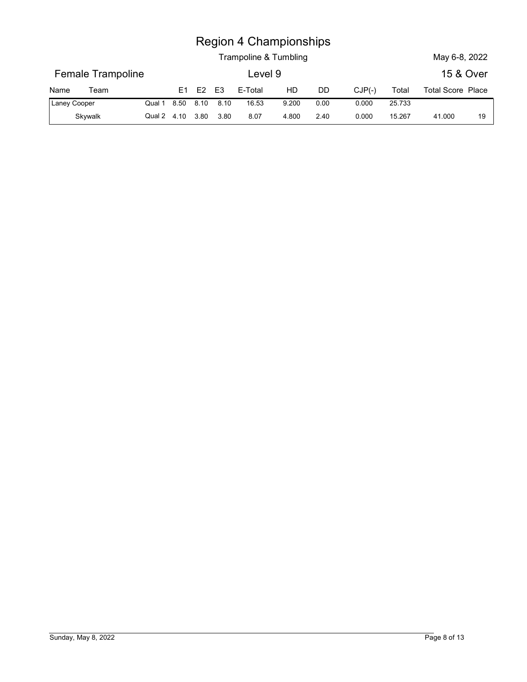|              |                          |                  |    |    |                | <b>Region 4 Championships</b> |       |      |          |        |                   |  |
|--------------|--------------------------|------------------|----|----|----------------|-------------------------------|-------|------|----------|--------|-------------------|--|
|              |                          |                  |    |    |                | Trampoline & Tumbling         |       |      |          |        | May 6-8, 2022     |  |
|              | <b>Female Trampoline</b> |                  |    |    |                | Level 9                       |       |      |          |        | 15 & Over         |  |
| Name         | Team                     |                  | E1 | E2 | E <sub>3</sub> | E-Total                       | HD    | DD   | $CJP(-)$ | Total  | Total Score Place |  |
| Laney Cooper |                          | Qual 1 8.50 8.10 |    |    | 8.10           | 16.53                         | 9.200 | 0.00 | 0.000    | 25.733 |                   |  |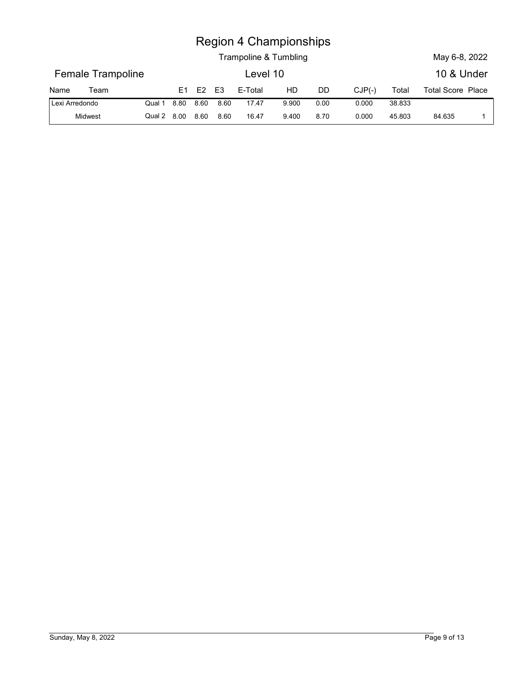|                |                   |        |                |      |                | <b>Region 4 Championships</b><br>Trampoline & Tumbling |       |      |          |        | May 6-8, 2022            |  |
|----------------|-------------------|--------|----------------|------|----------------|--------------------------------------------------------|-------|------|----------|--------|--------------------------|--|
|                | Female Trampoline |        |                |      |                | Level 10                                               |       |      |          |        | 10 & Under               |  |
| Name           | Team              |        | E <sub>1</sub> | E2   | E <sub>3</sub> | E-Total                                                | HD    | DD   | $CJP(-)$ | Total  | <b>Total Score Place</b> |  |
| Lexi Arredondo |                   | Qual 1 | 8.80           | 8.60 | 8.60           | 17.47                                                  | 9.900 | 0.00 | 0.000    | 38.833 |                          |  |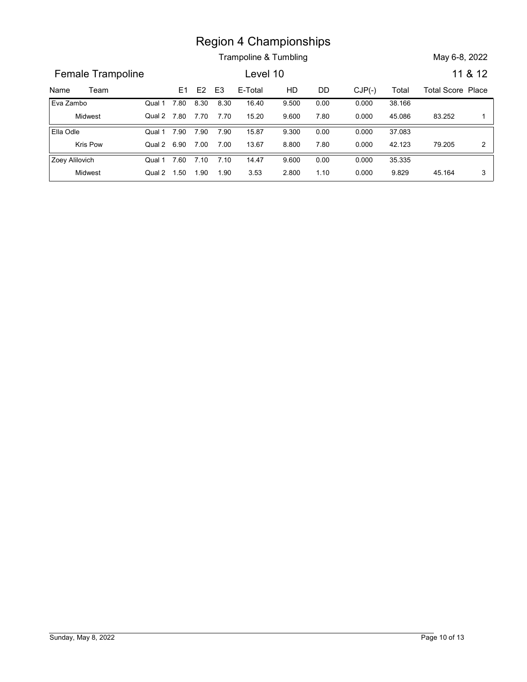Trampoline & Tumbling May 6-8, 2022

Name Trampoline (Mampionships<br>
Trampoline & Tumbling May 6-8, 2022<br>
Name Team E1 E2 E3 E-Total HD DD CJP(-) Total Total Score Place<br>
Eva Zambo Qual 1 7.80 8.30 8.30 16.40 9.500 0.00 0.000 38.166<br>
Midwest Qual 2 7.80 7.70 7 Female Trampoline **Lexel 10** 11 & 12 E1 E2 E3 E-Total HD DD CJP(-) Region 4 Championships<br>
Trampoline & Tumbling<br>
Level 10<br>
11 &<br>
17.80 8.30 8.30 16.40 9.500 0.00 0.000 38.166<br>
17.80 7.70 7.70 15.20 9.600 7.80 0.000 45.086 83.252<br>
17.90 7.90 7.90 15.87 9.300 0.00 0.000 37.083<br>
18.90 7.00 Midwest Qual 2 Eva Zambo Qual 1 7.80 8.30 8.30 Region 4 Championships<br>
Trampoline & Tumbling<br>
Level 10 11 & 12<br>
E1 E2 E3 E-Total HD DD CJP(-) Total Total Score Place<br>
7.80 8.30 8.30 16.40 9.500 0.00 0.000 38.166<br>
7.80 7.70 7.70 15.20 9.600 7.80 0.000 45.086 83.252 1<br>
7 38.166 0.000 9.500 83.252 1 9.600 7.80 0.000 45.086 83.252 1 | Qual 1 7.80 8.30 8.30 16.40 9.500 0.00 8.30 16.40 9.500 0.00 0.000 38.166 7.70 15.20 9.600 7.80 0.000 7.90 7.90 15.87 Kris Pow Qual 2 6.90 7.00 7.00 13.67 8.800 7 Ella Odle Qual 1 7.90 7.90 7.90 Region 4 Championships<br>
Trampoline & Tumbling<br>
Level 10<br>
E1 E2 E3 E-Total HD DD CJP(-) Total Total Score Place<br>
7.80 8.30 8.30 16.40 9.500 0.00 0.000 38.166<br>
7.80 7.70 7.70 15.20 9.600 7.80 0.000 45.086 83.252 1<br>
7.90 7.90 37.083 0.000 9.300 79.205 2 8.800 7.80 0.000 42.123 79.205 2 | Qual 1 7.90 7.90 7.90 15.87 9.300 0.00 7.90 15.87 9.300 0.00 0.000 37.083 7.00 13.67 8.800 7.80 0.000 Region 4 Championships<br>
Trampoline & Tumbling<br>
E1 E2 E3 E-Total HD DD CJP(-) Total Total Score Pli<br>
7.60 8.30 8.30 16.40 9.500 0.00 0.000 38.166<br>
7.60 7.70 7.70 15.20 9.600 7.80 0.000 45.086 83.252<br>
7.90 7.90 7.90 15.87 9. Midwest Qual 2 Zoey Alilovich **Canada Cover 12.60 7.10 7.10 14.47** Region 4 Championships<br>
Trampoline & Tumbling<br>
Level 10<br>
11 & 12<br>
11 & 12<br>
11 & 12<br>
11 & 12<br>
130 8.30 8.30 16.40<br>
150 9.600 7.80 0.000 0.000 38.166<br>
160 7.90 7.90 15.87<br>
160 9.600 7.80<br>
16.00 7.80 9.600 7.80<br>
16.00 7.00 13 35.335 0.000 9.600 9.829 0.000 2.800 Qual 1 7.60 7.10 7.10 14.47 9.600 0.00 7.10 14.47 9.600 0.00 0.000 35.335 1.90 3.53 2.800 1.10 0.000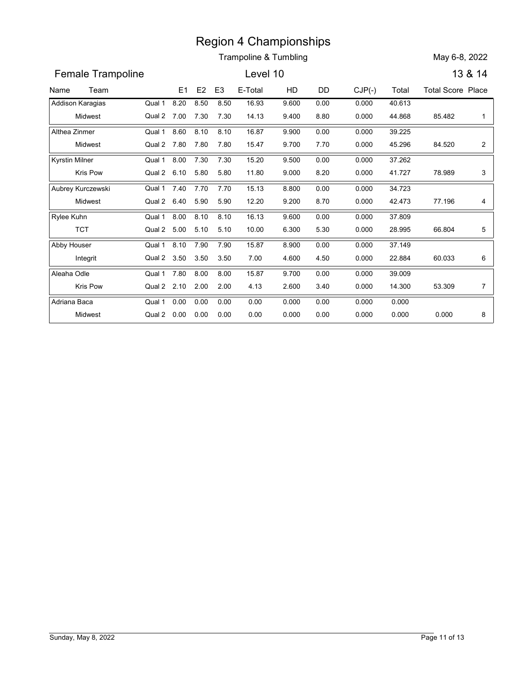|                       |                          |      |                |                | <b>Region 4 Championships</b> |       |      |          |        |                          |                |
|-----------------------|--------------------------|------|----------------|----------------|-------------------------------|-------|------|----------|--------|--------------------------|----------------|
|                       |                          |      |                |                | Trampoline & Tumbling         |       |      |          |        | May 6-8, 2022            |                |
| Female Trampoline     |                          |      |                |                | Level 10                      |       |      |          |        |                          | 13 & 14        |
| Team<br>Name          |                          | E1   | E <sub>2</sub> | E <sub>3</sub> | E-Total                       | HD    | DD   | $CJP(-)$ | Total  | <b>Total Score Place</b> |                |
| Addison Karagias      | Qual 1                   | 8.20 | 8.50           | 8.50           | 16.93                         | 9.600 | 0.00 | 0.000    | 40.613 |                          |                |
| Midwest               | Qual 2 7.00              |      | 7.30           | 7.30           | 14.13                         | 9.400 | 8.80 | 0.000    | 44.868 | 85.482                   | -1             |
| Althea Zinmer         | Qual 1                   | 8.60 | 8.10           | 8.10           | 16.87                         | 9.900 | 0.00 | 0.000    | 39.225 |                          |                |
| Midwest               | Qual 2 7.80              |      | 7.80           | 7.80           | 15.47                         | 9.700 | 7.70 | 0.000    | 45.296 | 84.520                   | $\overline{a}$ |
| <b>Kyrstin Milner</b> | Qual 1                   | 8.00 | 7.30           | 7.30           | 15.20                         | 9.500 | 0.00 | 0.000    | 37.262 |                          |                |
| Kris Pow              | Qual 2 6.10              |      | 5.80           | 5.80           | 11.80                         | 9.000 | 8.20 | 0.000    | 41.727 | 78.989                   | 3              |
| Aubrey Kurczewski     | Qual 1                   | 7.40 | 7.70           | 7.70           | 15.13                         | 8.800 | 0.00 | 0.000    | 34.723 |                          |                |
| Midwest               | Qual 2 6.40              |      | 5.90           | 5.90           | 12.20                         | 9.200 | 8.70 | 0.000    | 42.473 | 77.196                   | 4              |
| Rylee Kuhn            | Qual 1                   | 8.00 | 8.10           | 8.10           | 16.13                         | 9.600 | 0.00 | 0.000    | 37.809 |                          |                |
| <b>TCT</b>            | Qual 2 5.00              |      | 5.10           | 5.10           | 10.00                         | 6.300 | 5.30 | 0.000    | 28.995 | 66.804                   | 5              |
| Abby Houser           | Qual 1                   | 8.10 | 7.90           | 7.90           | 15.87                         | 8.900 | 0.00 | 0.000    | 37.149 |                          |                |
| Integrit              | Qual 2 3.50 3.50 3.50    |      |                |                | 7.00                          | 4.600 | 4.50 | 0.000    | 22.884 | 60.033                   | 6              |
| Aleaha Odle           | Qual 1 7.80 8.00         |      |                | 8.00           | 15.87                         | 9.700 | 0.00 | 0.000    | 39.009 |                          |                |
| Kris Pow              | Qual 2 2.10 2.00         |      |                | 2.00           | 4.13                          | 2.600 | 3.40 | 0.000    | 14.300 | 53.309                   | $\overline{7}$ |
| Adriana Baca          | Qual 1 0.00 0.00         |      |                | 0.00           | 0.00                          | 0.000 | 0.00 | 0.000    | 0.000  |                          |                |
| Midwest               | Qual 2  0.00  0.00  0.00 |      |                |                | 0.00                          | 0.000 | 0.00 | 0.000    | 0.000  | 0.000                    | 8              |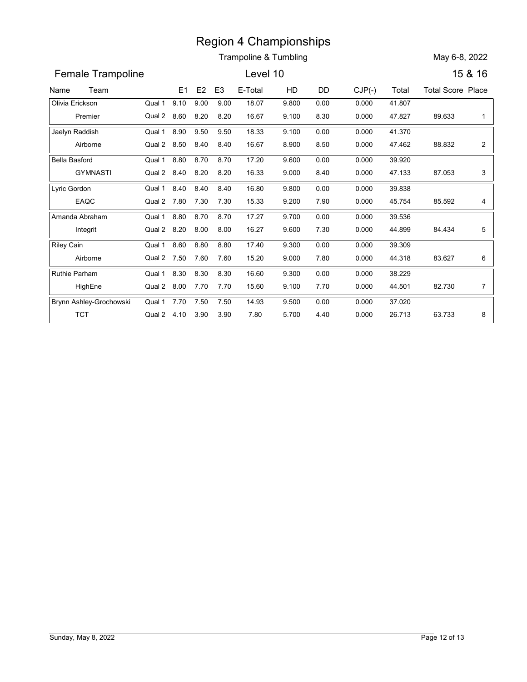|                         |                       |      |                |                | <b>Region 4 Championships</b>    |       |      |          |        |                          |                |
|-------------------------|-----------------------|------|----------------|----------------|----------------------------------|-------|------|----------|--------|--------------------------|----------------|
|                         |                       |      |                |                | <b>Trampoline &amp; Tumbling</b> |       |      |          |        | May 6-8, 2022            |                |
| Female Trampoline       |                       |      |                |                | Level 10                         |       |      |          |        |                          | 15 & 16        |
| Team<br>Name            |                       | E1   | E <sub>2</sub> | E <sub>3</sub> | E-Total                          | HD    | DD   | $CJP(-)$ | Total  | <b>Total Score Place</b> |                |
| Olivia Erickson         | Qual 1                | 9.10 | 9.00           | 9.00           | 18.07                            | 9.800 | 0.00 | 0.000    | 41.807 |                          |                |
| Premier                 | Qual 2 8.60           |      | 8.20           | 8.20           | 16.67                            | 9.100 | 8.30 | 0.000    | 47.827 | 89.633                   | 1              |
| Jaelyn Raddish          | Qual 1                | 8.90 | 9.50           | 9.50           | 18.33                            | 9.100 | 0.00 | 0.000    | 41.370 |                          |                |
| Airborne                | Qual 2 8.50           |      | 8.40           | 8.40           | 16.67                            | 8.900 | 8.50 | 0.000    | 47.462 | 88.832                   | $\overline{a}$ |
| <b>Bella Basford</b>    | Qual 1                | 8.80 | 8.70           | 8.70           | 17.20                            | 9.600 | 0.00 | 0.000    | 39.920 |                          |                |
| <b>GYMNASTI</b>         | Qual 2 8.40           |      | 8.20           | 8.20           | 16.33                            | 9.000 | 8.40 | 0.000    | 47.133 | 87.053                   | 3              |
| Lyric Gordon            | Qual 1                | 8.40 | 8.40           | 8.40           | 16.80                            | 9.800 | 0.00 | 0.000    | 39.838 |                          |                |
| EAQC                    | Qual 2 7.80           |      | 7.30           | 7.30           | 15.33                            | 9.200 | 7.90 | 0.000    | 45.754 | 85.592                   | 4              |
| Amanda Abraham          | Qual 1                | 8.80 | 8.70           | 8.70           | 17.27                            | 9.700 | 0.00 | 0.000    | 39.536 |                          |                |
| Integrit                | Qual 2 8.20           |      | 8.00           | 8.00           | 16.27                            | 9.600 | 7.30 | 0.000    | 44.899 | 84.434                   | 5              |
| <b>Riley Cain</b>       | Qual 1                | 8.60 | 8.80           | 8.80           | 17.40                            | 9.300 | 0.00 | 0.000    | 39.309 |                          |                |
| Airborne                | Qual 2 7.50 7.60 7.60 |      |                |                | 15.20                            | 9.000 | 7.80 | 0.000    | 44.318 | 83.627                   | 6              |
| Ruthie Parham           | Qual 1 8.30 8.30      |      |                | 8.30           | 16.60                            | 9.300 | 0.00 | 0.000    | 38.229 |                          |                |
| HighEne                 | Qual 2 8.00 7.70 7.70 |      |                |                | 15.60                            | 9.100 | 7.70 | 0.000    | 44.501 | 82.730                   | $\overline{7}$ |
| Brynn Ashley-Grochowski | Qual 1 7.70 7.50      |      |                | 7.50           | 14.93                            | 9.500 | 0.00 | 0.000    | 37.020 |                          |                |
| <b>TCT</b>              | Qual 2 4.10 3.90 3.90 |      |                |                | 7.80                             | 5.700 | 4.40 | 0.000    | 26.713 | 63.733                   | 8              |